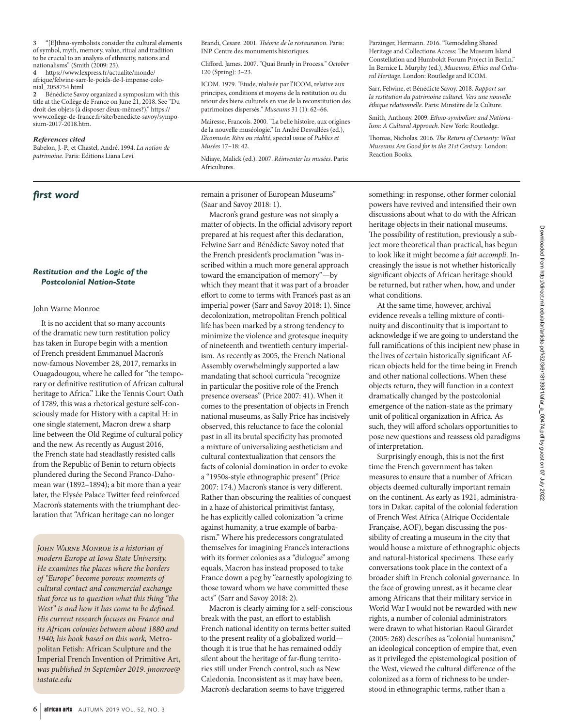**3** "[E]thno-symbolists consider the cultural elements of symbol, myth, memory, value, ritual and tradition to be crucial to an analysis of ethnicity, nations and nationalisms" (Smith (2009: 25).

**4** https://www.lexpress.fr/actualite/monde/ afrique/felwine-sarr-le-poids-de-l-impense-colonial\_2058754.html

**2** Bénédicte Savoy organized a symposium with this title at the Collège de France on June 21, 2018. See "Du droit des objets (à disposer d'eux-mêmes?)," https:// www.college-de-france.fr/site/benedicte-savoy/symposium-2017-2018.htm.

### *References cited*

Babelon, J.-P., et Chastel, André. 1994. *La notion de patrimoine.* Paris: Editions Liana Levi.

# *first word*

## *Restitution and the Logic of the Postcolonial Nation-State*

## John Warne Monroe

It is no accident that so many accounts of the dramatic new turn restitution policy has taken in Europe begin with a mention of French president Emmanuel Macron's now-famous November 28, 2017, remarks in Ouagadougou, where he called for "the temporary or definitive restitution of African cultural heritage to Africa." Like the Tennis Court Oath of 1789, this was a rhetorical gesture self-consciously made for History with a capital H: in one single statement, Macron drew a sharp line between the Old Regime of cultural policy and the new. As recently as August 2016, the French state had steadfastly resisted calls from the Republic of Benin to return objects plundered during the Second Franco-Dahomean war (1892–1894); a bit more than a year later, the Elysée Palace Twitter feed reinforced Macron's statements with the triumphant declaration that "African heritage can no longer

*John Warne Monroe is a historian of modern Europe at Iowa State University. He examines the places where the borders of "Europe" become porous: moments of cultural contact and commercial exchange that force us to question what this thing "the West" is and how it has come to be defined. His current research focuses on France and its African colonies between about 1880 and 1940; his book based on this work,* Metropolitan Fetish: African Sculpture and the Imperial French Invention of Primitive Art, *was published in September 2019. jmonroe@ iastate.edu*

Brandi, Cesare. 2001. *Théorie de la restauration*. Paris: INP. Centre des monuments historiques.

Clifford. James. 2007. "Quai Branly in Process." *October* 120 (Spring): 3–23.

ICOM. 1979. "Etude, réalisée par l'ICOM, relative aux principes, conditions et moyens de la restitution ou du retour des biens culturels en vue de la reconstitution des patrimoines dispersés." *Museums* 31 (1): 62–66.

Mairesse, Francois. 2000. "La belle histoire, aux origines de la nouvelle muséologie." In André Desvallées (ed.), *L'écomusée: Rêve ou réalité*, special issue of *Publics et Musées* 17–18: 42.

Ndiaye, Malick (ed.). 2007. *Réinventer les musées*. Paris: Africultures.

remain a prisoner of European Museums" (Saar and Savoy 2018: 1).

Macron's grand gesture was not simply a matter of objects. In the official advisory report prepared at his request after this declaration, Felwine Sarr and Bénédicte Savoy noted that the French president's proclamation "was inscribed within a much more general approach toward the emancipation of memory"—by which they meant that it was part of a broader effort to come to terms with France's past as an imperial power (Sarr and Savoy 2018: 1). Since decolonization, metropolitan French political life has been marked by a strong tendency to minimize the violence and grotesque inequity of nineteenth and twentieth century imperialism. As recently as 2005, the French National Assembly overwhelmingly supported a law mandating that school curricula "recognize in particular the positive role of the French presence overseas" (Price 2007: 41). When it comes to the presentation of objects in French national museums, as Sally Price has incisively observed, this reluctance to face the colonial past in all its brutal specificity has promoted a mixture of universalizing aestheticism and cultural contextualization that censors the facts of colonial domination in order to evoke a "1950s-style ethnographic present" (Price 2007: 174.) Macron's stance is very different. Rather than obscuring the realities of conquest in a haze of ahistorical primitivist fantasy, he has explicitly called colonization "a crime against humanity, a true example of barbarism." Where his predecessors congratulated themselves for imagining France's interactions with its former colonies as a "dialogue" among equals, Macron has instead proposed to take France down a peg by "earnestly apologizing to those toward whom we have committed these acts" (Sarr and Savoy 2018: 2).

Macron is clearly aiming for a self-conscious break with the past, an effort to establish French national identity on terms better suited to the present reality of a globalized world though it is true that he has remained oddly silent about the heritage of far-flung territories still under French control, such as New Caledonia. Inconsistent as it may have been, Macron's declaration seems to have triggered

Parzinger, Hermann. 2016. "Remodeling Shared Heritage and Collections Access: The Museum Island Constellation and Humboldt Forum Project in Berlin." In Bernice L. Murphy (ed.), *Museums, Ethics and Cultural Heritage*. London: Routledge and ICOM.

Sarr, Felwine, et Bénédicte Savoy. 2018. *Rapport sur la restitution du patrimoine culturel. Vers une nouvelle éthique relationnelle*. Paris: Minstère de la Culture.

Smith, Anthony. 2009. *Ethno-symbolism and Nationalism: A Cultural Approach*. New York: Routledge.

Thomas, Nicholas. 2016. *The Return of Curiosity: What Museums Are Good for in the 21st Century*. London: Reaction Books.

something: in response, other former colonial powers have revived and intensified their own discussions about what to do with the African heritage objects in their national museums. The possibility of restitution, previously a subject more theoretical than practical, has begun to look like it might become a *fait accompli*. Increasingly the issue is not whether historically significant objects of African heritage should be returned, but rather when, how, and under what conditions.

At the same time, however, archival evidence reveals a telling mixture of continuity and discontinuity that is important to acknowledge if we are going to understand the full ramifications of this incipient new phase in the lives of certain historically significant African objects held for the time being in French and other national collections. When these objects return, they will function in a context dramatically changed by the postcolonial emergence of the nation-state as the primary unit of political organization in Africa. As such, they will afford scholars opportunities to pose new questions and reassess old paradigms of interpretation.

Surprisingly enough, this is not the first time the French government has taken measures to ensure that a number of African objects deemed culturally important remain on the continent. As early as 1921, administrators in Dakar, capital of the colonial federation of French West Africa (Afrique Occidentale Française, AOF), began discussing the possibility of creating a museum in the city that would house a mixture of ethnographic objects and natural-historical specimens. These early conversations took place in the context of a broader shift in French colonial governance. In the face of growing unrest, as it became clear among Africans that their military service in World War I would not be rewarded with new rights, a number of colonial administrators were drawn to what historian Raoul Girardet (2005: 268) describes as "colonial humanism," an ideological conception of empire that, even as it privileged the epistemological position of the West, viewed the cultural difference of the colonized as a form of richness to be understood in ethnographic terms, rather than a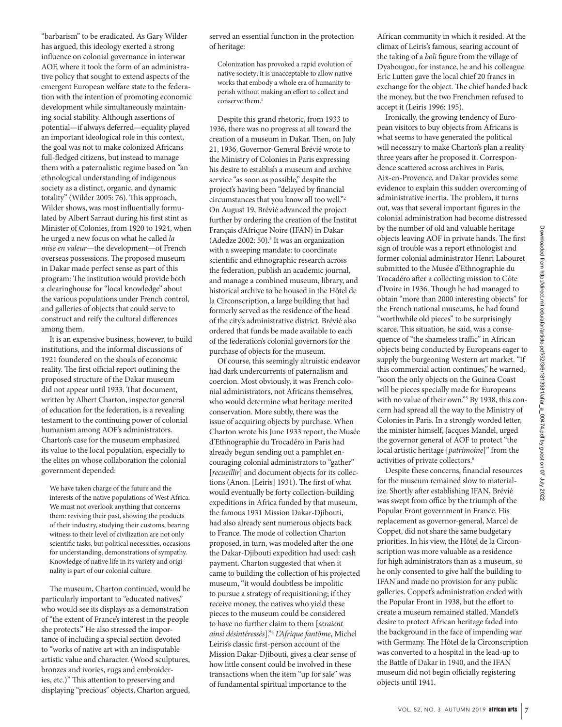"barbarism" to be eradicated. As Gary Wilder has argued, this ideology exerted a strong influence on colonial governance in interwar AOF, where it took the form of an administrative policy that sought to extend aspects of the emergent European welfare state to the federation with the intention of promoting economic development while simultaneously maintaining social stability. Although assertions of potential—if always deferred—equality played an important ideological role in this context, the goal was not to make colonized Africans full-fledged citizens, but instead to manage them with a paternalistic regime based on "an ethnological understanding of indigenous society as a distinct, organic, and dynamic totality" (Wilder 2005: 76). This approach, Wilder shows, was most influentially formulated by Albert Sarraut during his first stint as Minister of Colonies, from 1920 to 1924, when he urged a new focus on what he called *la mise en valeur*—the development—of French overseas possessions. The proposed museum in Dakar made perfect sense as part of this program: The institution would provide both a clearinghouse for "local knowledge" about the various populations under French control, and galleries of objects that could serve to construct and reify the cultural differences among them.

It is an expensive business, however, to build institutions, and the informal discussions of 1921 foundered on the shoals of economic reality. The first official report outlining the proposed structure of the Dakar museum did not appear until 1933. That document, written by Albert Charton, inspector general of education for the federation, is a revealing testament to the continuing power of colonial humanism among AOF's administrators. Charton's case for the museum emphasized its value to the local population, especially to the elites on whose collaboration the colonial government depended:

We have taken charge of the future and the interests of the native populations of West Africa. We must not overlook anything that concerns them: reviving their past, showing the products of their industry, studying their customs, bearing witness to their level of civilization are not only scientific tasks, but political necessities, occasions for understanding, demonstrations of sympathy. Knowledge of native life in its variety and originality is part of our colonial culture.

The museum, Charton continued, would be particularly important to "educated natives," who would see its displays as a demonstration of "the extent of France's interest in the people she protects." He also stressed the importance of including a special section devoted to "works of native art with an indisputable artistic value and character. (Wood sculptures, bronzes and ivories, rugs and embroideries, etc.)" This attention to preserving and displaying "precious" objects, Charton argued, served an essential function in the protection of heritage:

Colonization has provoked a rapid evolution of native society; it is unacceptable to allow native works that embody a whole era of humanity to perish without making an effort to collect and conserve them.<sup>1</sup>

Despite this grand rhetoric, from 1933 to 1936, there was no progress at all toward the creation of a museum in Dakar. Then, on July 21, 1936, Governor-General Brévié wrote to the Ministry of Colonies in Paris expressing his desire to establish a museum and archive service "as soon as possible," despite the project's having been "delayed by financial circumstances that you know all too well."2 On August 19, Brévié advanced the project further by ordering the creation of the Institut Français d'Afrique Noire (IFAN) in Dakar  $($ Adedze 2002: 50 $).$ <sup>3</sup> It was an organization with a sweeping mandate: to coordinate scientific and ethnographic research across the federation, publish an academic journal, and manage a combined museum, library, and historical archive to be housed in the Hôtel de la Circonscription, a large building that had formerly served as the residence of the head of the city's administrative district. Brévié also ordered that funds be made available to each of the federation's colonial governors for the purchase of objects for the museum.

Of course, this seemingly altruistic endeavor had dark undercurrents of paternalism and coercion. Most obviously, it was French colonial administrators, not Africans themselves, who would determine what heritage merited conservation. More subtly, there was the issue of acquiring objects by purchase. When Charton wrote his June 1933 report, the Musée d'Ethnographie du Trocadéro in Paris had already begun sending out a pamphlet encouraging colonial administrators to "gather" [*recueillir*] and document objects for its collections (Anon. [Leiris] 1931). The first of what would eventually be forty collection-building expeditions in Africa funded by that museum, the famous 1931 Mission Dakar-Djibouti, had also already sent numerous objects back to France. The mode of collection Charton proposed, in turn, was modeled after the one the Dakar-Djibouti expedition had used: cash payment. Charton suggested that when it came to building the collection of his projected museum, "it would doubtless be impolitic to pursue a strategy of requisitioning; if they receive money, the natives who yield these pieces to the museum could be considered to have no further claim to them [*seraient ainsi désintéressés*]."4 *L'Afrique fantôme*, Michel Leiris's classic first-person account of the Mission Dakar-Djibouti, gives a clear sense of how little consent could be involved in these transactions when the item "up for sale" was of fundamental spiritual importance to the

African community in which it resided. At the climax of Leiris's famous, searing account of the taking of a *boli* figure from the village of Dyabougou, for instance, he and his colleague Eric Lutten gave the local chief 20 francs in exchange for the object. The chief handed back the money, but the two Frenchmen refused to accept it (Leiris 1996: 195).

Ironically, the growing tendency of European visitors to buy objects from Africans is what seems to have generated the political will necessary to make Charton's plan a reality three years after he proposed it. Correspondence scattered across archives in Paris, Aix-en-Provence, and Dakar provides some evidence to explain this sudden overcoming of administrative inertia. The problem, it turns out, was that several important figures in the colonial administration had become distressed by the number of old and valuable heritage objects leaving AOF in private hands. The first sign of trouble was a report ethnologist and former colonial administrator Henri Labouret submitted to the Musée d'Ethnographie du Trocadéro after a collecting mission to Côte d'Ivoire in 1936. Though he had managed to obtain "more than 2000 interesting objects" for the French national museums, he had found "worthwhile old pieces" to be surprisingly scarce. This situation, he said, was a consequence of "the shameless traffic" in African objects being conducted by Europeans eager to supply the burgeoning Western art market. "If this commercial action continues," he warned, "soon the only objects on the Guinea Coast will be pieces specially made for Europeans with no value of their own."<sup>5</sup> By 1938, this concern had spread all the way to the Ministry of Colonies in Paris. In a strongly worded letter, the minister himself, Jacques Mandel, urged the governor general of AOF to protect "the local artistic heritage [*patrimoine*]" from the activities of private collectors.<sup>6</sup>

Despite these concerns, financial resources for the museum remained slow to materialize. Shortly after establishing IFAN, Brévié was swept from office by the triumph of the Popular Front government in France. His replacement as governor-general, Marcel de Coppet, did not share the same budgetary priorities. In his view, the Hôtel de la Circonscription was more valuable as a residence for high administrators than as a museum, so he only consented to give half the building to IFAN and made no provision for any public galleries. Coppet's administration ended with the Popular Front in 1938, but the effort to create a museum remained stalled. Mandel's desire to protect African heritage faded into the background in the face of impending war with Germany. The Hôtel de la Circonscription was converted to a hospital in the lead-up to the Battle of Dakar in 1940, and the IFAN museum did not begin officially registering objects until 1941.